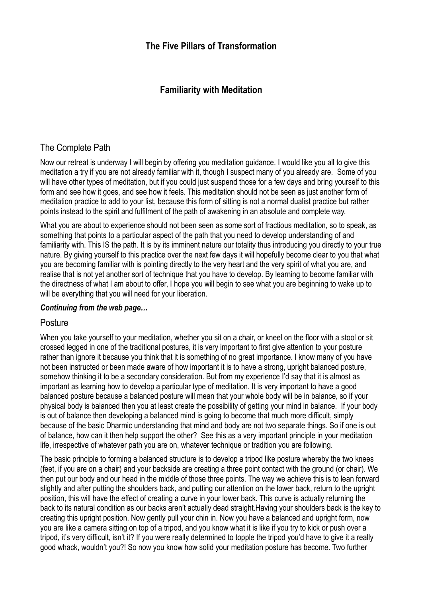# **Familiarity with Meditation**

# The Complete Path

Now our retreat is underway I will begin by offering you meditation guidance. I would like you all to give this meditation a try if you are not already familiar with it, though I suspect many of you already are. Some of you will have other types of meditation, but if you could just suspend those for a few days and bring yourself to this form and see how it goes, and see how it feels. This meditation should not be seen as just another form of meditation practice to add to your list, because this form of sitting is not a normal dualist practice but rather points instead to the spirit and fulfilment of the path of awakening in an absolute and complete way.

What you are about to experience should not been seen as some sort of fractious meditation, so to speak, as something that points to a particular aspect of the path that you need to develop understanding of and familiarity with. This IS the path. It is by its imminent nature our totality thus introducing you directly to your true nature. By giving yourself to this practice over the next few days it will hopefully become clear to you that what you are becoming familiar with is pointing directly to the very heart and the very spirit of what you are, and realise that is not yet another sort of technique that you have to develop. By learning to become familiar with the directness of what I am about to offer, I hope you will begin to see what you are beginning to wake up to will be everything that you will need for your liberation.

## *Continuing from the web page…*

## **Posture**

When you take yourself to your meditation, whether you sit on a chair, or kneel on the floor with a stool or sit crossed legged in one of the traditional postures, it is very important to first give attention to your posture rather than ignore it because you think that it is something of no great importance. I know many of you have not been instructed or been made aware of how important it is to have a strong, upright balanced posture, somehow thinking it to be a secondary consideration. But from my experience I'd say that it is almost as important as learning how to develop a particular type of meditation. It is very important to have a good balanced posture because a balanced posture will mean that your whole body will be in balance, so if your physical body is balanced then you at least create the possibility of getting your mind in balance. If your body is out of balance then developing a balanced mind is going to become that much more difficult, simply because of the basic Dharmic understanding that mind and body are not two separate things. So if one is out of balance, how can it then help support the other? See this as a very important principle in your meditation life, irrespective of whatever path you are on, whatever technique or tradition you are following.

The basic principle to forming a balanced structure is to develop a tripod like posture whereby the two knees (feet, if you are on a chair) and your backside are creating a three point contact with the ground (or chair). We then put our body and our head in the middle of those three points. The way we achieve this is to lean forward slightly and after putting the shoulders back, and putting our attention on the lower back, return to the upright position, this will have the effect of creating a curve in your lower back. This curve is actually returning the back to its natural condition as our backs aren't actually dead straight.Having your shoulders back is the key to creating this upright position. Now gently pull your chin in. Now you have a balanced and upright form, now you are like a camera sitting on top of a tripod, and you know what it is like if you try to kick or push over a tripod, it's very difficult, isn't it? If you were really determined to topple the tripod you'd have to give it a really good whack, wouldn't you?! So now you know how solid your meditation posture has become. Two further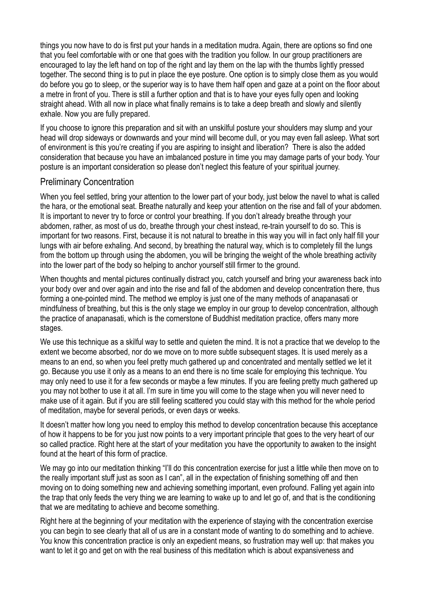things you now have to do is first put your hands in a meditation mudra. Again, there are options so find one that you feel comfortable with or one that goes with the tradition you follow. In our group practitioners are encouraged to lay the left hand on top of the right and lay them on the lap with the thumbs lightly pressed together. The second thing is to put in place the eye posture. One option is to simply close them as you would do before you go to sleep, or the superior way is to have them half open and gaze at a point on the floor about a metre in front of you. There is still a further option and that is to have your eyes fully open and looking straight ahead. With all now in place what finally remains is to take a deep breath and slowly and silently exhale. Now you are fully prepared.

If you choose to ignore this preparation and sit with an unskilful posture your shoulders may slump and your head will drop sideways or downwards and your mind will become dull, or you may even fall asleep. What sort of environment is this you're creating if you are aspiring to insight and liberation? There is also the added consideration that because you have an imbalanced posture in time you may damage parts of your body. Your posture is an important consideration so please don't neglect this feature of your spiritual journey.

### Preliminary Concentration

When you feel settled, bring your attention to the lower part of your body, just below the navel to what is called the hara, or the emotional seat. Breathe naturally and keep your attention on the rise and fall of your abdomen. It is important to never try to force or control your breathing. If you don't already breathe through your abdomen, rather, as most of us do, breathe through your chest instead, re-train yourself to do so. This is important for two reasons. First, because it is not natural to breathe in this way you will in fact only half fill your lungs with air before exhaling. And second, by breathing the natural way, which is to completely fill the lungs from the bottom up through using the abdomen, you will be bringing the weight of the whole breathing activity into the lower part of the body so helping to anchor yourself still firmer to the ground.

When thoughts and mental pictures continually distract you, catch yourself and bring your awareness back into your body over and over again and into the rise and fall of the abdomen and develop concentration there, thus forming a one-pointed mind. The method we employ is just one of the many methods of anapanasati or mindfulness of breathing, but this is the only stage we employ in our group to develop concentration, although the practice of anapanasati, which is the cornerstone of Buddhist meditation practice, offers many more stages.

We use this technique as a skilful way to settle and quieten the mind. It is not a practice that we develop to the extent we become absorbed, nor do we move on to more subtle subsequent stages. It is used merely as a means to an end, so when you feel pretty much gathered up and concentrated and mentally settled we let it go. Because you use it only as a means to an end there is no time scale for employing this technique. You may only need to use it for a few seconds or maybe a few minutes. If you are feeling pretty much gathered up you may not bother to use it at all. I'm sure in time you will come to the stage when you will never need to make use of it again. But if you are still feeling scattered you could stay with this method for the whole period of meditation, maybe for several periods, or even days or weeks.

It doesn't matter how long you need to employ this method to develop concentration because this acceptance of how it happens to be for you just now points to a very important principle that goes to the very heart of our so called practice. Right here at the start of your meditation you have the opportunity to awaken to the insight found at the heart of this form of practice.

We may go into our meditation thinking "I'll do this concentration exercise for just a little while then move on to the really important stuff just as soon as I can", all in the expectation of finishing something off and then moving on to doing something new and achieving something important, even profound. Falling yet again into the trap that only feeds the very thing we are learning to wake up to and let go of, and that is the conditioning that we are meditating to achieve and become something.

Right here at the beginning of your meditation with the experience of staying with the concentration exercise you can begin to see clearly that all of us are in a constant mode of wanting to do something and to achieve. You know this concentration practice is only an expedient means, so frustration may well up: that makes you want to let it go and get on with the real business of this meditation which is about expansiveness and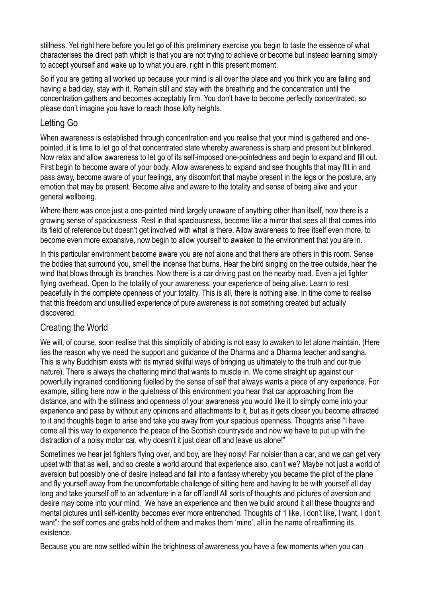stillness. Yet right here before you let go of this preliminary exercise you begin to taste the essence of what characterises the direct path which is that you are not trying to achieve or become but instead learning simply to accept yourself and wake up to what you are, right in this present moment.

So if you are getting all worked up because your mind is all over the place and you think you are failing and having a bad day, stay with it. Remain still and stay with the breathing and the concentration until the concentration gathers and becomes acceptably firm. You don't have to become perfectly concentrated, so please don't imagine you have to reach those lofty heights.

## Letting Go

When awareness is established through concentration and you realise that your mind is gathered and onepointed, it is time to let go of that concentrated state whereby awareness is sharp and present but blinkered. Now relax and allow awareness to let go of its self-imposed one-pointedness and begin to expand and fill out. First begin to become aware of your body. Allow awareness to expand and see thoughts that may flit in and pass away, become aware of your feelings, any discomfort that maybe present in the legs or the posture, any emotion that may be present. Become alive and aware to the totality and sense of being alive and your general wellbeing.

Where there was once just a one-pointed mind largely unaware of anything other than itself, now there is a growing sense of spaciousness. Rest in that spaciousness, become like a mirror that sees all that comes into its field of reference but doesn't get involved with what is there. Allow awareness to free itself even more, to become even more expansive, now begin to allow yourself to awaken to the environment that you are in.

In this particular environment become aware you are not alone and that there are others in this room. Sense the bodies that surround you, smell the incense that burns. Hear the bird singing on the tree outside, hear the wind that blows through its branches. Now there is a car driving past on the nearby road. Even a jet fighter flying overhead. Open to the totality of your awareness, your experience of being alive. Learn to rest peacefully in the complete openness of your totality. This is all, there is nothing else. In time come to realise that this freedom and unsullied experience of pure awareness is not something created but actually discovered.

## Creating the World

We will, of course, soon realise that this simplicity of abiding is not easy to awaken to let alone maintain. (Here lies the reason why we need the support and guidance of the Dharma and a Dharma teacher and sangha. This is why Buddhism exists with its myriad skilful ways of bringing us ultimately to the truth and our true nature). There is always the chattering mind that wants to muscle in. We come straight up against our powerfully ingrained conditioning fuelled by the sense of self that always wants a piece of any experience. For example, sitting here now in the quietness of this environment you hear that car approaching from the distance, and with the stillness and openness of your awareness you would like it to simply come into your experience and pass by without any opinions and attachments to it, but as it gets closer you become attracted to it and thoughts begin to arise and take you away from your spacious openness. Thoughts arise "I have come all this way to experience the peace of the Scottish countryside and now we have to put up with the distraction of a noisy motor car, why doesn't it just clear off and leave us alone!"

Sometimes we hear jet fighters flying over, and boy, are they noisy! Far noisier than a car, and we can get very upset with that as well, and so create a world around that experience also, can't we? Maybe not just a world of aversion but possibly one of desire instead and fall into a fantasy whereby you became the pilot of the plane and fly yourself away from the uncomfortable challenge of sitting here and having to be with yourself all day long and take yourself off to an adventure in a far off land! All sorts of thoughts and pictures of aversion and desire may come into your mind. We have an experience and then we build around it all these thoughts and mental pictures until self-identity becomes ever more entrenched. Thoughts of "I like, I don't like, I want, I don't want": the self comes and grabs hold of them and makes them 'mine', all in the name of reaffirming its existence.

Because you are now settled within the brightness of awareness you have a few moments when you can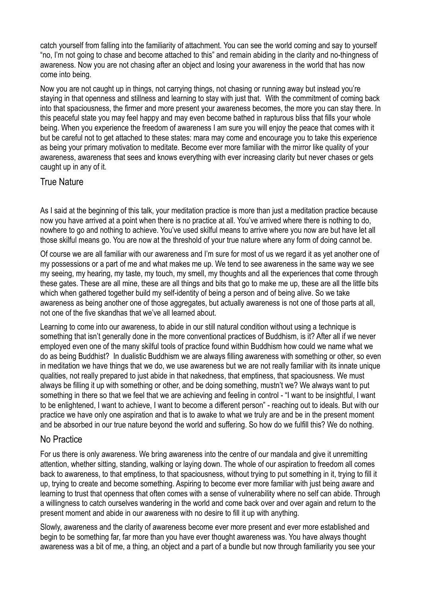catch yourself from falling into the familiarity of attachment. You can see the world coming and say to yourself "no, I'm not going to chase and become attached to this" and remain abiding in the clarity and no-thingness of awareness. Now you are not chasing after an object and losing your awareness in the world that has now come into being.

Now you are not caught up in things, not carrying things, not chasing or running away but instead you're staying in that openness and stillness and learning to stay with just that. With the commitment of coming back into that spaciousness, the firmer and more present your awareness becomes, the more you can stay there. In this peaceful state you may feel happy and may even become bathed in rapturous bliss that fills your whole being. When you experience the freedom of awareness I am sure you will enjoy the peace that comes with it but be careful not to get attached to these states: mara may come and encourage you to take this experience as being your primary motivation to meditate. Become ever more familiar with the mirror like quality of your awareness, awareness that sees and knows everything with ever increasing clarity but never chases or gets caught up in any of it.

## True Nature

As I said at the beginning of this talk, your meditation practice is more than just a meditation practice because now you have arrived at a point when there is no practice at all. You've arrived where there is nothing to do, nowhere to go and nothing to achieve. You've used skilful means to arrive where you now are but have let all those skilful means go. You are now at the threshold of your true nature where any form of doing cannot be.

Of course we are all familiar with our awareness and I'm sure for most of us we regard it as yet another one of my possessions or a part of me and what makes me up. We tend to see awareness in the same way we see my seeing, my hearing, my taste, my touch, my smell, my thoughts and all the experiences that come through these gates. These are all mine, these are all things and bits that go to make me up, these are all the little bits which when gathered together build my self-identity of being a person and of being alive. So we take awareness as being another one of those aggregates, but actually awareness is not one of those parts at all, not one of the five skandhas that we've all learned about.

Learning to come into our awareness, to abide in our still natural condition without using a technique is something that isn't generally done in the more conventional practices of Buddhism, is it? After all if we never employed even one of the many skilful tools of practice found within Buddhism how could we name what we do as being Buddhist? In dualistic Buddhism we are always filling awareness with something or other, so even in meditation we have things that we do, we use awareness but we are not really familiar with its innate unique qualities, not really prepared to just abide in that nakedness, that emptiness, that spaciousness. We must always be filling it up with something or other, and be doing something, mustn't we? We always want to put something in there so that we feel that we are achieving and feeling in control - "I want to be insightful, I want to be enlightened, I want to achieve, I want to become a different person" - reaching out to ideals. But with our practice we have only one aspiration and that is to awake to what we truly are and be in the present moment and be absorbed in our true nature beyond the world and suffering. So how do we fulfill this? We do nothing.

## No Practice

For us there is only awareness. We bring awareness into the centre of our mandala and give it unremitting attention, whether sitting, standing, walking or laying down. The whole of our aspiration to freedom all comes back to awareness, to that emptiness, to that spaciousness, without trying to put something in it, trying to fill it up, trying to create and become something. Aspiring to become ever more familiar with just being aware and learning to trust that openness that often comes with a sense of vulnerability where no self can abide. Through a willingness to catch ourselves wandering in the world and come back over and over again and return to the present moment and abide in our awareness with no desire to fill it up with anything.

Slowly, awareness and the clarity of awareness become ever more present and ever more established and begin to be something far, far more than you have ever thought awareness was. You have always thought awareness was a bit of me, a thing, an object and a part of a bundle but now through familiarity you see your